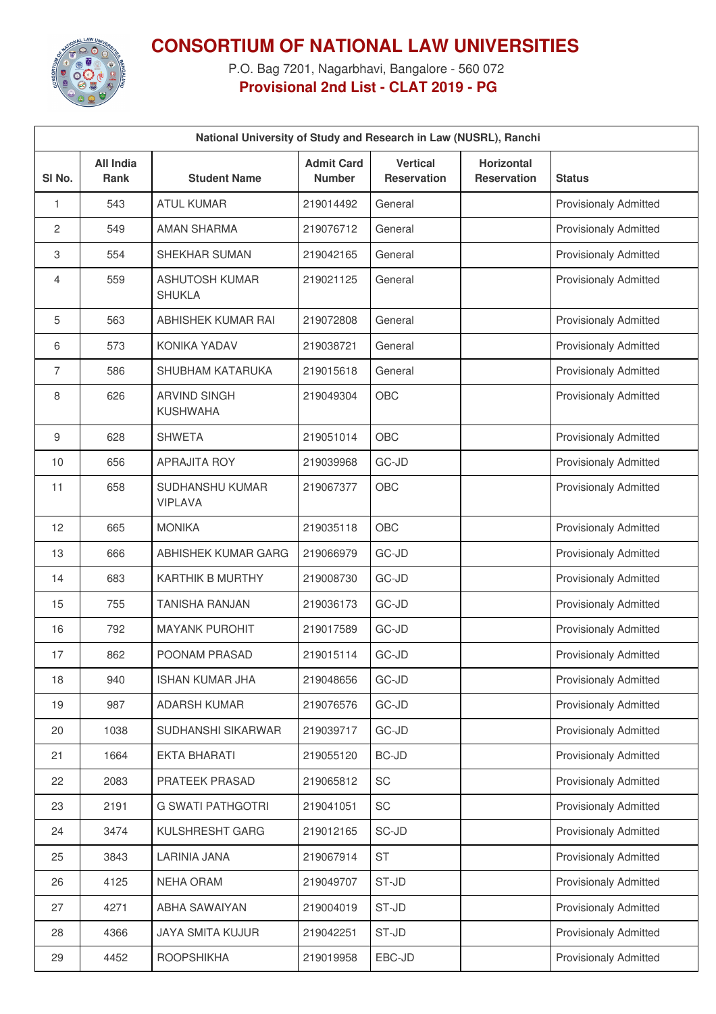

## **CONSORTIUM OF NATIONAL LAW UNIVERSITIES**

P.O. Bag 7201, Nagarbhavi, Bangalore - 560 072 **Provisional 2nd List - CLAT 2019 - PG**

| National University of Study and Research in Law (NUSRL), Ranchi |                          |                                          |                                    |                                       |                                  |                              |  |
|------------------------------------------------------------------|--------------------------|------------------------------------------|------------------------------------|---------------------------------------|----------------------------------|------------------------------|--|
| SI No.                                                           | All India<br><b>Rank</b> | <b>Student Name</b>                      | <b>Admit Card</b><br><b>Number</b> | <b>Vertical</b><br><b>Reservation</b> | Horizontal<br><b>Reservation</b> | <b>Status</b>                |  |
| 1                                                                | 543                      | <b>ATUL KUMAR</b>                        | 219014492                          | General                               |                                  | <b>Provisionaly Admitted</b> |  |
| 2                                                                | 549                      | <b>AMAN SHARMA</b>                       | 219076712                          | General                               |                                  | <b>Provisionaly Admitted</b> |  |
| 3                                                                | 554                      | SHEKHAR SUMAN                            | 219042165                          | General                               |                                  | <b>Provisionaly Admitted</b> |  |
| 4                                                                | 559                      | <b>ASHUTOSH KUMAR</b><br><b>SHUKLA</b>   | 219021125                          | General                               |                                  | <b>Provisionaly Admitted</b> |  |
| 5                                                                | 563                      | ABHISHEK KUMAR RAI                       | 219072808                          | General                               |                                  | <b>Provisionaly Admitted</b> |  |
| 6                                                                | 573                      | <b>KONIKA YADAV</b>                      | 219038721                          | General                               |                                  | <b>Provisionaly Admitted</b> |  |
| $\overline{7}$                                                   | 586                      | SHUBHAM KATARUKA                         | 219015618                          | General                               |                                  | <b>Provisionaly Admitted</b> |  |
| 8                                                                | 626                      | <b>ARVIND SINGH</b><br><b>KUSHWAHA</b>   | 219049304                          | OBC                                   |                                  | <b>Provisionaly Admitted</b> |  |
| 9                                                                | 628                      | <b>SHWETA</b>                            | 219051014                          | OBC                                   |                                  | <b>Provisionaly Admitted</b> |  |
| 10                                                               | 656                      | <b>APRAJITA ROY</b>                      | 219039968                          | GC-JD                                 |                                  | <b>Provisionaly Admitted</b> |  |
| 11                                                               | 658                      | <b>SUDHANSHU KUMAR</b><br><b>VIPLAVA</b> | 219067377                          | OBC                                   |                                  | <b>Provisionaly Admitted</b> |  |
| 12                                                               | 665                      | <b>MONIKA</b>                            | 219035118                          | OBC                                   |                                  | <b>Provisionaly Admitted</b> |  |
| 13                                                               | 666                      | ABHISHEK KUMAR GARG                      | 219066979                          | GC-JD                                 |                                  | <b>Provisionaly Admitted</b> |  |
| 14                                                               | 683                      | <b>KARTHIK B MURTHY</b>                  | 219008730                          | GC-JD                                 |                                  | <b>Provisionaly Admitted</b> |  |
| 15                                                               | 755                      | <b>TANISHA RANJAN</b>                    | 219036173                          | GC-JD                                 |                                  | <b>Provisionaly Admitted</b> |  |
| 16                                                               | 792                      | <b>MAYANK PUROHIT</b>                    | 219017589                          | GC-JD                                 |                                  | <b>Provisionaly Admitted</b> |  |
| 17                                                               | 862                      | POONAM PRASAD                            | 219015114                          | GC-JD                                 |                                  | <b>Provisionaly Admitted</b> |  |
| 18                                                               | 940                      | <b>ISHAN KUMAR JHA</b>                   | 219048656                          | GC-JD                                 |                                  | <b>Provisionaly Admitted</b> |  |
| 19                                                               | 987                      | <b>ADARSH KUMAR</b>                      | 219076576                          | GC-JD                                 |                                  | <b>Provisionaly Admitted</b> |  |
| 20                                                               | 1038                     | SUDHANSHI SIKARWAR                       | 219039717                          | GC-JD                                 |                                  | Provisionaly Admitted        |  |
| 21                                                               | 1664                     | <b>EKTA BHARATI</b>                      | 219055120                          | <b>BC-JD</b>                          |                                  | <b>Provisionaly Admitted</b> |  |
| 22                                                               | 2083                     | PRATEEK PRASAD                           | 219065812                          | SC                                    |                                  | Provisionaly Admitted        |  |
| 23                                                               | 2191                     | <b>G SWATI PATHGOTRI</b>                 | 219041051                          | SC                                    |                                  | <b>Provisionaly Admitted</b> |  |
| 24                                                               | 3474                     | KULSHRESHT GARG                          | 219012165                          | SC-JD                                 |                                  | Provisionaly Admitted        |  |
| 25                                                               | 3843                     | <b>LARINIA JANA</b>                      | 219067914                          | <b>ST</b>                             |                                  | <b>Provisionaly Admitted</b> |  |
| 26                                                               | 4125                     | <b>NEHA ORAM</b>                         | 219049707                          | ST-JD                                 |                                  | <b>Provisionaly Admitted</b> |  |
| 27                                                               | 4271                     | ABHA SAWAIYAN                            | 219004019                          | ST-JD                                 |                                  | Provisionaly Admitted        |  |
| 28                                                               | 4366                     | <b>JAYA SMITA KUJUR</b>                  | 219042251                          | ST-JD                                 |                                  | Provisionaly Admitted        |  |
| 29                                                               | 4452                     | <b>ROOPSHIKHA</b>                        | 219019958                          | EBC-JD                                |                                  | Provisionaly Admitted        |  |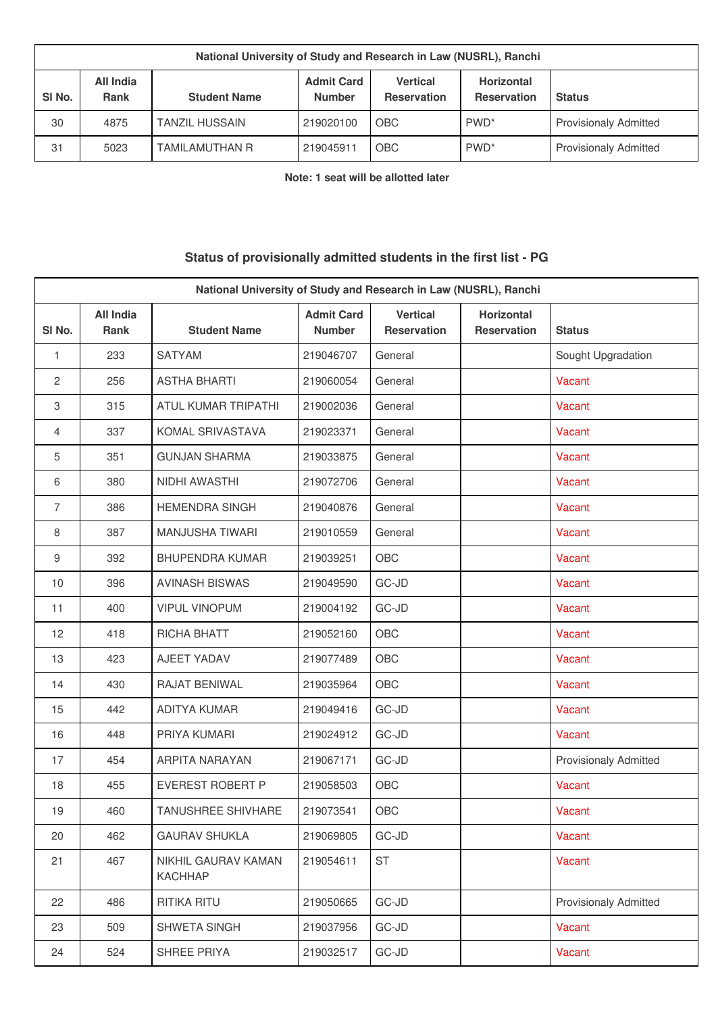| National University of Study and Research in Law (NUSRL), Ranchi |                          |                       |                                    |                                       |                                         |                              |  |
|------------------------------------------------------------------|--------------------------|-----------------------|------------------------------------|---------------------------------------|-----------------------------------------|------------------------------|--|
| SI <sub>No.</sub>                                                | All India<br><b>Rank</b> | <b>Student Name</b>   | <b>Admit Card</b><br><b>Number</b> | <b>Vertical</b><br><b>Reservation</b> | <b>Horizontal</b><br><b>Reservation</b> | <b>Status</b>                |  |
| 30                                                               | 4875                     | <b>TANZIL HUSSAIN</b> | 219020100                          | <b>OBC</b>                            | PWD <sup>*</sup>                        | <b>Provisionaly Admitted</b> |  |
| 31                                                               | 5023                     | <b>TAMILAMUTHAN R</b> | 219045911                          | <b>OBC</b>                            | PWD <sup>*</sup>                        | <b>Provisionaly Admitted</b> |  |

**Note: 1 seat will be allotted later**

## **Status of provisionally admitted students in the first list - PG**

| National University of Study and Research in Law (NUSRL), Ranchi |                                 |                                |                                    |                                       |                                         |                              |
|------------------------------------------------------------------|---------------------------------|--------------------------------|------------------------------------|---------------------------------------|-----------------------------------------|------------------------------|
| SI <sub>No.</sub>                                                | <b>All India</b><br><b>Rank</b> | <b>Student Name</b>            | <b>Admit Card</b><br><b>Number</b> | <b>Vertical</b><br><b>Reservation</b> | <b>Horizontal</b><br><b>Reservation</b> | <b>Status</b>                |
| 1                                                                | 233                             | <b>SATYAM</b>                  | 219046707                          | General                               |                                         | Sought Upgradation           |
| 2                                                                | 256                             | <b>ASTHA BHARTI</b>            | 219060054                          | General                               |                                         | Vacant                       |
| 3                                                                | 315                             | ATUL KUMAR TRIPATHI            | 219002036                          | General                               |                                         | Vacant                       |
| 4                                                                | 337                             | KOMAL SRIVASTAVA               | 219023371                          | General                               |                                         | Vacant                       |
| 5                                                                | 351                             | <b>GUNJAN SHARMA</b>           | 219033875                          | General                               |                                         | Vacant                       |
| 6                                                                | 380                             | NIDHI AWASTHI                  | 219072706                          | General                               |                                         | Vacant                       |
| $\overline{7}$                                                   | 386                             | <b>HEMENDRA SINGH</b>          | 219040876                          | General                               |                                         | Vacant                       |
| 8                                                                | 387                             | <b>MANJUSHA TIWARI</b>         | 219010559                          | General                               |                                         | Vacant                       |
| 9                                                                | 392                             | <b>BHUPENDRA KUMAR</b>         | 219039251                          | <b>OBC</b>                            |                                         | Vacant                       |
| 10                                                               | 396                             | <b>AVINASH BISWAS</b>          | 219049590                          | GC-JD                                 |                                         | Vacant                       |
| 11                                                               | 400                             | <b>VIPUL VINOPUM</b>           | 219004192                          | GC-JD                                 |                                         | Vacant                       |
| 12                                                               | 418                             | RICHA BHATT                    | 219052160                          | OBC                                   |                                         | Vacant                       |
| 13                                                               | 423                             | AJEET YADAV                    | 219077489                          | OBC                                   |                                         | Vacant                       |
| 14                                                               | 430                             | RAJAT BENIWAL                  | 219035964                          | OBC                                   |                                         | Vacant                       |
| 15                                                               | 442                             | <b>ADITYA KUMAR</b>            | 219049416                          | GC-JD                                 |                                         | Vacant                       |
| 16                                                               | 448                             | PRIYA KUMARI                   | 219024912                          | GC-JD                                 |                                         | Vacant                       |
| 17                                                               | 454                             | <b>ARPITA NARAYAN</b>          | 219067171                          | GC-JD                                 |                                         | <b>Provisionaly Admitted</b> |
| 18                                                               | 455                             | <b>EVEREST ROBERT P</b>        | 219058503                          | OBC                                   |                                         | Vacant                       |
| 19                                                               | 460                             | TANUSHREE SHIVHARE             | 219073541                          | OBC                                   |                                         | Vacant                       |
| 20                                                               | 462                             | <b>GAURAV SHUKLA</b>           | 219069805                          | GC-JD                                 |                                         | Vacant                       |
| 21                                                               | 467                             | NIKHIL GAURAV KAMAN<br>KACHHAP | 219054611                          | ST                                    |                                         | Vacant                       |
| 22                                                               | 486                             | RITIKA RITU                    | 219050665                          | GC-JD                                 |                                         | <b>Provisionaly Admitted</b> |
| 23                                                               | 509                             | SHWETA SINGH                   | 219037956                          | $GC-JD$                               |                                         | Vacant                       |
| 24                                                               | 524                             | SHREE PRIYA                    | 219032517                          | GC-JD                                 |                                         | Vacant                       |